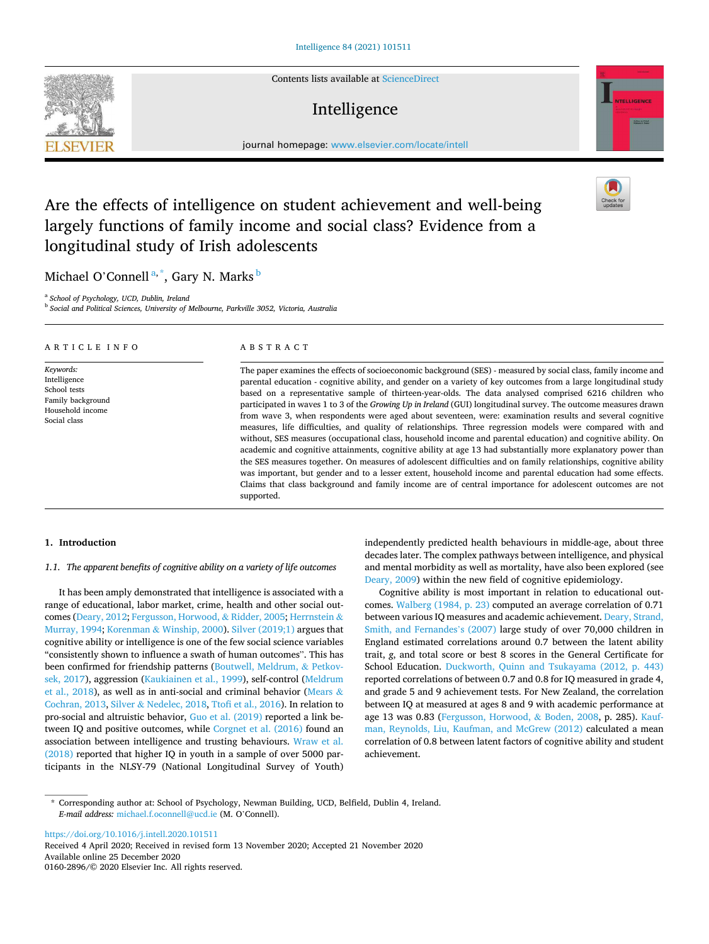Contents lists available at [ScienceDirect](www.sciencedirect.com/science/journal/01602896)

# Intelligence



journal homepage: [www.elsevier.com/locate/intell](https://www.elsevier.com/locate/intell) 

# Are the effects of intelligence on student achievement and well-being largely functions of family income and social class? Evidence from a longitudinal study of Irish adolescents

Michael O'Connell<sup>a,\*</sup>, Gary N. Marks <sup>b</sup>

a *School of Psychology, UCD, Dublin, Ireland* 

b *Social and Political Sciences, University of Melbourne, Parkville 3052, Victoria, Australia* 

| ARTICLE INFO                                                                                       | ABSTRACT                                                                                                                                                                                                                                                                                                                                                                                                                                                                                                                                                                                                                                                                                                                                                                                                                                                                                                                                                                                                                                                                                                                                                                                                                                                                              |
|----------------------------------------------------------------------------------------------------|---------------------------------------------------------------------------------------------------------------------------------------------------------------------------------------------------------------------------------------------------------------------------------------------------------------------------------------------------------------------------------------------------------------------------------------------------------------------------------------------------------------------------------------------------------------------------------------------------------------------------------------------------------------------------------------------------------------------------------------------------------------------------------------------------------------------------------------------------------------------------------------------------------------------------------------------------------------------------------------------------------------------------------------------------------------------------------------------------------------------------------------------------------------------------------------------------------------------------------------------------------------------------------------|
| Keywords:<br>Intelligence<br>School tests<br>Family background<br>Household income<br>Social class | The paper examines the effects of socioeconomic background (SES) - measured by social class, family income and<br>parental education - cognitive ability, and gender on a variety of key outcomes from a large longitudinal study<br>based on a representative sample of thirteen-year-olds. The data analysed comprised 6216 children who<br>participated in waves 1 to 3 of the Growing Up in Ireland (GUI) longitudinal survey. The outcome measures drawn<br>from wave 3, when respondents were aged about seventeen, were: examination results and several cognitive<br>measures, life difficulties, and quality of relationships. Three regression models were compared with and<br>without, SES measures (occupational class, household income and parental education) and cognitive ability. On<br>academic and cognitive attainments, cognitive ability at age 13 had substantially more explanatory power than<br>the SES measures together. On measures of adolescent difficulties and on family relationships, cognitive ability<br>was important, but gender and to a lesser extent, household income and parental education had some effects.<br>Claims that class background and family income are of central importance for adolescent outcomes are not<br>supported. |

# **1. Introduction**

# *1.1. The apparent benefits of cognitive ability on a variety of life outcomes*

It has been amply demonstrated that intelligence is associated with a range of educational, labor market, crime, health and other social outcomes [\(Deary, 2012; Fergusson, Horwood,](#page-8-0) & Ridder, 2005; [Herrnstein](#page-8-0) & [Murray, 1994;](#page-8-0) Korenman & [Winship, 2000\)](#page-8-0). [Silver \(2019;1\)](#page-8-0) argues that cognitive ability or intelligence is one of the few social science variables "consistently shown to influence a swath of human outcomes". This has been confirmed for friendship patterns [\(Boutwell, Meldrum,](#page-7-0) & Petkov[sek, 2017](#page-7-0)), aggression ([Kaukiainen et al., 1999\)](#page-8-0), self-control [\(Meldrum](#page-8-0)  [et al., 2018\)](#page-8-0), as well as in anti-social and criminal behavior [\(Mears](#page-8-0) & [Cochran, 2013](#page-8-0), Silver & [Nedelec, 2018, Ttofi et al., 2016\)](#page-8-0). In relation to pro-social and altruistic behavior, [Guo et al. \(2019\)](#page-8-0) reported a link be-tween IQ and positive outcomes, while [Corgnet et al. \(2016\)](#page-8-0) found an association between intelligence and trusting behaviours. [Wraw et al.](#page-9-0)  [\(2018\)](#page-9-0) reported that higher IQ in youth in a sample of over 5000 participants in the NLSY-79 (National Longitudinal Survey of Youth) independently predicted health behaviours in middle-age, about three decades later. The complex pathways between intelligence, and physical and mental morbidity as well as mortality, have also been explored (see [Deary, 2009\)](#page-8-0) within the new field of cognitive epidemiology.

Cognitive ability is most important in relation to educational outcomes. [Walberg \(1984, p. 23\)](#page-9-0) computed an average correlation of 0.71 between various IQ measures and academic achievement. [Deary, Strand,](#page-8-0)  [Smith, and Fernandes](#page-8-0)'s (2007) large study of over 70,000 children in England estimated correlations around 0.7 between the latent ability trait, *g*, and total score or best 8 scores in the General Certificate for School Education. [Duckworth, Quinn and Tsukayama \(2012, p. 443\)](#page-8-0)  reported correlations of between 0.7 and 0.8 for IQ measured in grade 4, and grade 5 and 9 achievement tests. For New Zealand, the correlation between IQ at measured at ages 8 and 9 with academic performance at age 13 was 0.83 ([Fergusson, Horwood,](#page-8-0) & Boden, 2008, p. 285). [Kauf](#page-8-0)[man, Reynolds, Liu, Kaufman, and McGrew \(2012\)](#page-8-0) calculated a mean correlation of 0.8 between latent factors of cognitive ability and student achievement.

<https://doi.org/10.1016/j.intell.2020.101511>

Available online 25 December 2020 0160-2896/© 2020 Elsevier Inc. All rights reserved. Received 4 April 2020; Received in revised form 13 November 2020; Accepted 21 November 2020





<sup>\*</sup> Corresponding author at: School of Psychology, Newman Building, UCD, Belfield, Dublin 4, Ireland. *E-mail address:* [michael.f.oconnell@ucd.ie](mailto:michael.f.oconnell@ucd.ie) (M. O'Connell).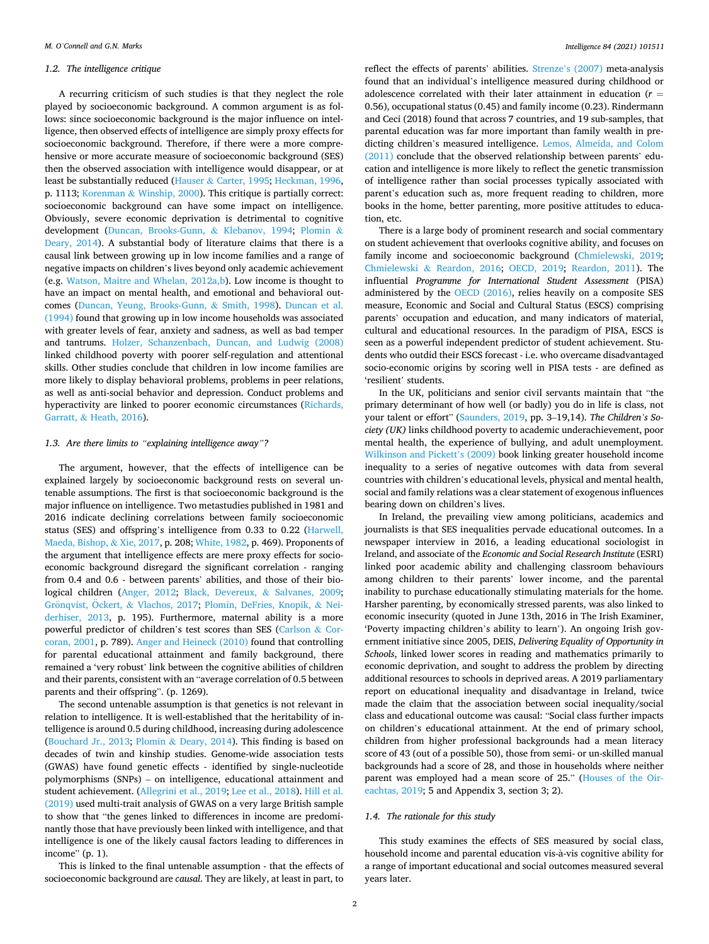#### *1.2. The intelligence critique*

A recurring criticism of such studies is that they neglect the role played by socioeconomic background. A common argument is as follows: since socioeconomic background is the major influence on intelligence, then observed effects of intelligence are simply proxy effects for socioeconomic background. Therefore, if there were a more comprehensive or more accurate measure of socioeconomic background (SES) then the observed association with intelligence would disappear, or at least be substantially reduced (Hauser & [Carter, 1995](#page-8-0); [Heckman, 1996](#page-8-0), p. 1113; Korenman & [Winship, 2000\)](#page-8-0). This critique is partially correct: socioeconomic background can have some impact on intelligence. Obviously, severe economic deprivation is detrimental to cognitive development ([Duncan, Brooks-Gunn,](#page-8-0) & Klebanov, 1994; [Plomin](#page-8-0) & [Deary, 2014](#page-8-0)). A substantial body of literature claims that there is a causal link between growing up in low income families and a range of negative impacts on children's lives beyond only academic achievement (e.g. [Watson, Maitre and Whelan, 2012a,b](#page-9-0)). Low income is thought to have an impact on mental health, and emotional and behavioral outcomes ([Duncan, Yeung, Brooks-Gunn,](#page-8-0) & Smith, 1998). [Duncan et al.](#page-8-0)  [\(1994\)](#page-8-0) found that growing up in low income households was associated with greater levels of fear, anxiety and sadness, as well as bad temper and tantrums. [Holzer, Schanzenbach, Duncan, and Ludwig \(2008\)](#page-8-0)  linked childhood poverty with poorer self-regulation and attentional skills. Other studies conclude that children in low income families are more likely to display behavioral problems, problems in peer relations, as well as anti-social behavior and depression. Conduct problems and hyperactivity are linked to poorer economic circumstances ([Richards,](#page-8-0)  Garratt, & [Heath, 2016\)](#page-8-0).

# *1.3. Are there limits to "explaining intelligence away"?*

The argument, however, that the effects of intelligence can be explained largely by socioeconomic background rests on several untenable assumptions. The first is that socioeconomic background is the major influence on intelligence. Two metastudies published in 1981 and 2016 indicate declining correlations between family socioeconomic status (SES) and offspring's intelligence from 0.33 to 0.22 [\(Harwell,](#page-8-0)  [Maeda, Bishop,](#page-8-0) & Xie, 2017, p. 208; [White, 1982](#page-9-0), p. 469). Proponents of the argument that intelligence effects are mere proxy effects for socioeconomic background disregard the significant correlation - ranging from 0.4 and 0.6 - between parents' abilities, and those of their biological children [\(Anger, 2012;](#page-7-0) [Black, Devereux,](#page-7-0) & Salvanes, 2009; Grönqvist, Öckert, & [Vlachos, 2017;](#page-8-0) [Plomin, DeFries, Knopik,](#page-8-0) & Nei[derhiser, 2013,](#page-8-0) p. 195). Furthermore, maternal ability is a more powerful predictor of children's test scores than SES ([Carlson](#page-7-0) & Cor[coran, 2001,](#page-7-0) p. 789). [Anger and Heineck \(2010\)](#page-7-0) found that controlling for parental educational attainment and family background, there remained a 'very robust' link between the cognitive abilities of children and their parents, consistent with an "average correlation of 0.5 between parents and their offspring". (p. 1269).

The second untenable assumption is that genetics is not relevant in relation to intelligence. It is well-established that the heritability of intelligence is around 0.5 during childhood, increasing during adolescence ([Bouchard Jr., 2013](#page-7-0); Plomin & [Deary, 2014\)](#page-8-0). This finding is based on decades of twin and kinship studies. Genome-wide association tests (GWAS) have found genetic effects - identified by single-nucleotide polymorphisms (SNPs) – on intelligence, educational attainment and student achievement. ([Allegrini et al., 2019](#page-7-0); [Lee et al., 2018\)](#page-8-0). [Hill et al.](#page-8-0)  [\(2019\)](#page-8-0) used multi-trait analysis of GWAS on a very large British sample to show that "the genes linked to differences in income are predominantly those that have previously been linked with intelligence, and that intelligence is one of the likely causal factors leading to differences in income" (p. 1).

This is linked to the final untenable assumption - that the effects of socioeconomic background are *causal*. They are likely, at least in part, to

reflect the effects of parents' abilities. Strenze'[s \(2007\)](#page-8-0) meta-analysis found that an individual's intelligence measured during childhood or adolescence correlated with their later attainment in education (*r* = 0.56), occupational status (0.45) and family income (0.23). Rindermann and Ceci (2018) found that across 7 countries, and 19 sub-samples, that parental education was far more important than family wealth in predicting children's measured intelligence. [Lemos, Almeida, and Colom](#page-8-0)  [\(2011\)](#page-8-0) conclude that the observed relationship between parents' education and intelligence is more likely to reflect the genetic transmission of intelligence rather than social processes typically associated with parent's education such as, more frequent reading to children, more books in the home, better parenting, more positive attitudes to education, etc.

There is a large body of prominent research and social commentary on student achievement that overlooks cognitive ability, and focuses on family income and socioeconomic background ([Chmielewski, 2019](#page-8-0); Chmielewski & [Reardon, 2016](#page-8-0); [OECD, 2019;](#page-8-0) [Reardon, 2011\)](#page-8-0). The influential *Programme for International Student Assessment* (PISA) administered by the [OECD \(2016\)](#page-8-0), relies heavily on a composite SES measure, Economic and Social and Cultural Status (ESCS) comprising parents' occupation and education, and many indicators of material, cultural and educational resources. In the paradigm of PISA, ESCS is seen as a powerful independent predictor of student achievement. Students who outdid their ESCS forecast - i.e. who overcame disadvantaged socio-economic origins by scoring well in PISA tests - are defined as 'resilient' students.

In the UK, politicians and senior civil servants maintain that "the primary determinant of how well (or badly) you do in life is class, not your talent or effort" [\(Saunders, 2019,](#page-8-0) pp. 3–19,14). *The Children's Society (UK)* links childhood poverty to academic underachievement, poor mental health, the experience of bullying, and adult unemployment. [Wilkinson and Pickett](#page-9-0)'s (2009) book linking greater household income inequality to a series of negative outcomes with data from several countries with children's educational levels, physical and mental health, social and family relations was a clear statement of exogenous influences bearing down on children's lives.

In Ireland, the prevailing view among politicians, academics and journalists is that SES inequalities pervade educational outcomes. In a newspaper interview in 2016, a leading educational sociologist in Ireland, and associate of the *Economic and Social Research Institute* (ESRI) linked poor academic ability and challenging classroom behaviours among children to their parents' lower income, and the parental inability to purchase educationally stimulating materials for the home. Harsher parenting, by economically stressed parents, was also linked to economic insecurity (quoted in June 13th, 2016 in The Irish Examiner, 'Poverty impacting children's ability to learn'). An ongoing Irish government initiative since 2005, DEIS, *Delivering Equality of Opportunity in Schools*, linked lower scores in reading and mathematics primarily to economic deprivation, and sought to address the problem by directing additional resources to schools in deprived areas. A 2019 parliamentary report on educational inequality and disadvantage in Ireland, twice made the claim that the association between social inequality/social class and educational outcome was causal: "Social class further impacts on children's educational attainment. At the end of primary school, children from higher professional backgrounds had a mean literacy score of 43 (out of a possible 50), those from semi- or un-skilled manual backgrounds had a score of 28, and those in households where neither parent was employed had a mean score of 25." ([Houses of the Oir](#page-8-0)[eachtas, 2019](#page-8-0); 5 and Appendix 3, section 3; 2).

# *1.4. The rationale for this study*

This study examines the effects of SES measured by social class, household income and parental education vis-a-vis cognitive ability for ` a range of important educational and social outcomes measured several years later.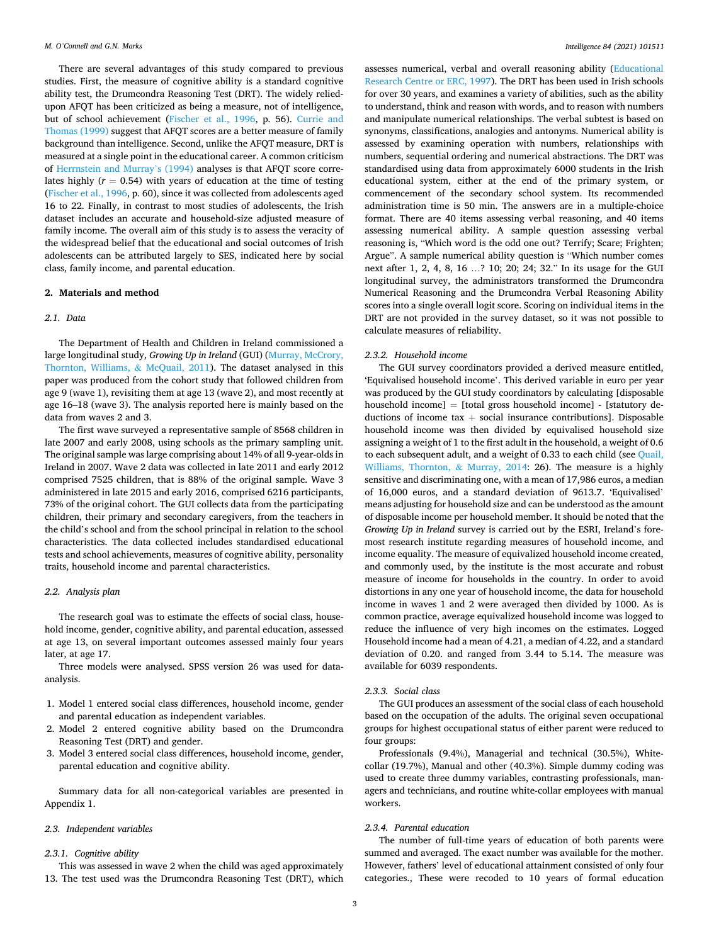There are several advantages of this study compared to previous studies. First, the measure of cognitive ability is a standard cognitive ability test, the Drumcondra Reasoning Test (DRT). The widely reliedupon AFQT has been criticized as being a measure, not of intelligence, but of school achievement [\(Fischer et al., 1996,](#page-8-0) p. 56). [Currie and](#page-8-0)  [Thomas \(1999\)](#page-8-0) suggest that AFQT scores are a better measure of family background than intelligence. Second, unlike the AFQT measure, DRT is measured at a single point in the educational career. A common criticism of [Herrnstein and Murray](#page-8-0)'s (1994) analyses is that AFQT score correlates highly  $(r = 0.54)$  with years of education at the time of testing ([Fischer et al., 1996,](#page-8-0) p. 60), since it was collected from adolescents aged 16 to 22. Finally, in contrast to most studies of adolescents, the Irish dataset includes an accurate and household-size adjusted measure of family income. The overall aim of this study is to assess the veracity of the widespread belief that the educational and social outcomes of Irish adolescents can be attributed largely to SES, indicated here by social class, family income, and parental education.

# **2. Materials and method**

# *2.1. Data*

The Department of Health and Children in Ireland commissioned a large longitudinal study, *Growing Up in Ireland* (GUI) ([Murray, McCrory,](#page-8-0)  [Thornton, Williams,](#page-8-0) & McQuail, 2011). The dataset analysed in this paper was produced from the cohort study that followed children from age 9 (wave 1), revisiting them at age 13 (wave 2), and most recently at age 16–18 (wave 3). The analysis reported here is mainly based on the data from waves 2 and 3.

The first wave surveyed a representative sample of 8568 children in late 2007 and early 2008, using schools as the primary sampling unit. The original sample was large comprising about 14% of all 9-year-olds in Ireland in 2007. Wave 2 data was collected in late 2011 and early 2012 comprised 7525 children, that is 88% of the original sample. Wave 3 administered in late 2015 and early 2016, comprised 6216 participants, 73% of the original cohort. The GUI collects data from the participating children, their primary and secondary caregivers, from the teachers in the child's school and from the school principal in relation to the school characteristics. The data collected includes standardised educational tests and school achievements, measures of cognitive ability, personality traits, household income and parental characteristics.

# *2.2. Analysis plan*

The research goal was to estimate the effects of social class, household income, gender, cognitive ability, and parental education, assessed at age 13, on several important outcomes assessed mainly four years later, at age 17.

Three models were analysed. SPSS version 26 was used for dataanalysis.

- 1. Model 1 entered social class differences, household income, gender and parental education as independent variables.
- 2. Model 2 entered cognitive ability based on the Drumcondra Reasoning Test (DRT) and gender.
- 3. Model 3 entered social class differences, household income, gender, parental education and cognitive ability.

Summary data for all non-categorical variables are presented in Appendix 1.

# *2.3. Independent variables*

#### *2.3.1. Cognitive ability*

This was assessed in wave 2 when the child was aged approximately 13. The test used was the Drumcondra Reasoning Test (DRT), which assesses numerical, verbal and overall reasoning ability ([Educational](#page-8-0)  [Research Centre or ERC, 1997\)](#page-8-0). The DRT has been used in Irish schools for over 30 years, and examines a variety of abilities, such as the ability to understand, think and reason with words, and to reason with numbers and manipulate numerical relationships. The verbal subtest is based on synonyms, classifications, analogies and antonyms. Numerical ability is assessed by examining operation with numbers, relationships with numbers, sequential ordering and numerical abstractions. The DRT was standardised using data from approximately 6000 students in the Irish educational system, either at the end of the primary system, or commencement of the secondary school system. Its recommended administration time is 50 min. The answers are in a multiple-choice format. There are 40 items assessing verbal reasoning, and 40 items assessing numerical ability. A sample question assessing verbal reasoning is, "Which word is the odd one out? Terrify; Scare; Frighten; Argue". A sample numerical ability question is "Which number comes next after 1, 2, 4, 8, 16 …? 10; 20; 24; 32." In its usage for the GUI longitudinal survey, the administrators transformed the Drumcondra Numerical Reasoning and the Drumcondra Verbal Reasoning Ability scores into a single overall logit score. Scoring on individual items in the DRT are not provided in the survey dataset, so it was not possible to calculate measures of reliability.

# *2.3.2. Household income*

The GUI survey coordinators provided a derived measure entitled, 'Equivalised household income'. This derived variable in euro per year was produced by the GUI study coordinators by calculating [disposable household income] = [total gross household income] - [statutory deductions of income tax  $+$  social insurance contributions]. Disposable household income was then divided by equivalised household size assigning a weight of 1 to the first adult in the household, a weight of 0.6 to each subsequent adult, and a weight of 0.33 to each child (see [Quail,](#page-8-0)  [Williams, Thornton,](#page-8-0) & Murray, 2014: 26). The measure is a highly sensitive and discriminating one, with a mean of 17,986 euros, a median of 16,000 euros, and a standard deviation of 9613.7. 'Equivalised' means adjusting for household size and can be understood as the amount of disposable income per household member. It should be noted that the *Growing Up in Ireland* survey is carried out by the ESRI, Ireland's foremost research institute regarding measures of household income, and income equality. The measure of equivalized household income created, and commonly used, by the institute is the most accurate and robust measure of income for households in the country. In order to avoid distortions in any one year of household income, the data for household income in waves 1 and 2 were averaged then divided by 1000. As is common practice, average equivalized household income was logged to reduce the influence of very high incomes on the estimates. Logged Household income had a mean of 4.21, a median of 4.22, and a standard deviation of 0.20. and ranged from 3.44 to 5.14. The measure was available for 6039 respondents.

#### *2.3.3. Social class*

The GUI produces an assessment of the social class of each household based on the occupation of the adults. The original seven occupational groups for highest occupational status of either parent were reduced to four groups:

Professionals (9.4%), Managerial and technical (30.5%), Whitecollar (19.7%), Manual and other (40.3%). Simple dummy coding was used to create three dummy variables, contrasting professionals, managers and technicians, and routine white-collar employees with manual workers.

# *2.3.4. Parental education*

The number of full-time years of education of both parents were summed and averaged. The exact number was available for the mother. However, fathers' level of educational attainment consisted of only four categories., These were recoded to 10 years of formal education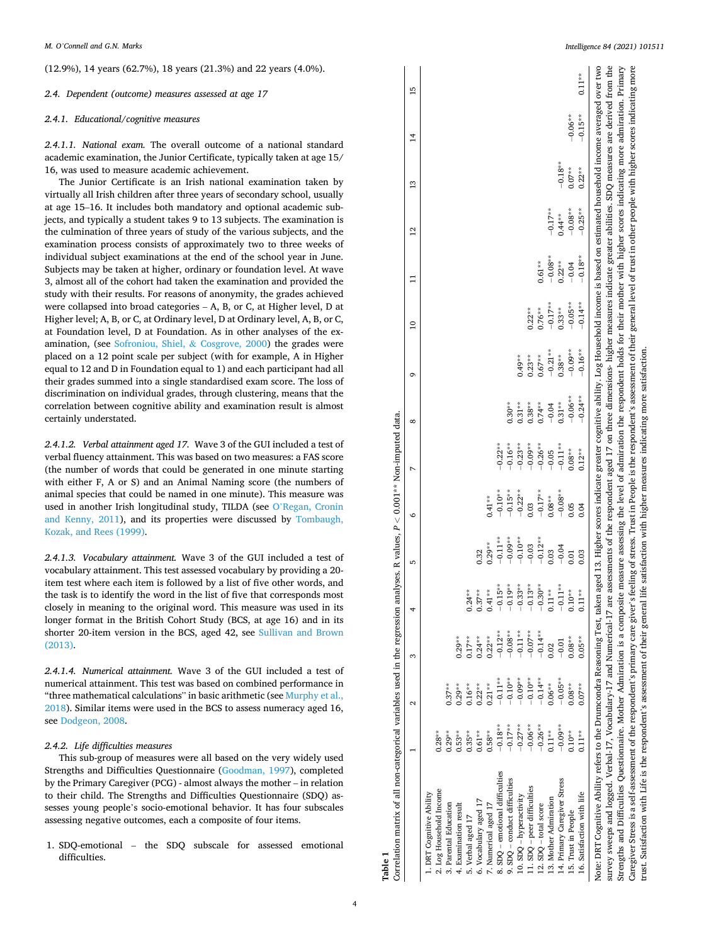<span id="page-3-0"></span>(12.9%), 14 years (62.7%), 18 years (21.3%) and 22 years (4.0%).

*2.4. Dependent (outcome) measures assessed at age 17* 

# *2.4.1. Educational/cognitive measures*

*2.4.1.1. National exam.* The overall outcome of a national standard academic examination, the Junior Certificate, typically taken at age 15/ 16, was used to measure academic achievement.

The Junior Certificate is an Irish national examination taken by virtually all Irish children after three years of secondary school, usually at age 15–16. It includes both mandatory and optional academic subjects, and typically a student takes 9 to 13 subjects. The examination is the culmination of three years of study of the various subjects, and the examination process consists of approximately two to three weeks of individual subject examinations at the end of the school year in June. Subjects may be taken at higher, ordinary or foundation level. At wave 3, almost all of the cohort had taken the examination and provided the study with their results. For reasons of anonymity, the grades achieved were collapsed into broad categories – A, B, or C, at Higher level, D at Higher level; A, B, or C, at Ordinary level, D at Ordinary level, A, B, or C, at Foundation level, D at Foundation. As in other analyses of the examination, (see [Sofroniou, Shiel,](#page-8-0) & Cosgrove, 2000) the grades were placed on a 12 point scale per subject (with for example, A in Higher equal to 12 and D in Foundation equal to 1) and each participant had all their grades summed into a single standardised exam score. The loss of discrimination on individual grades, through clustering, means that the correlation between cognitive ability and examination result is almost certainly understated.

*2.4.1.2. Verbal attainment aged 17.* Wave 3 of the GUI included a test of verbal fluency attainment. This was based on two measures: a FAS score (the number of words that could be generated in one minute starting with either F, A or S) and an Animal Naming score (the numbers of animal species that could be named in one minute). This measure was used in another Irish longitudinal study, TILDA (see O'[Regan, Cronin](#page-8-0)  [and Kenny, 2011\)](#page-8-0), and its properties were discussed by [Tombaugh,](#page-8-0)  [Kozak, and Rees \(1999\).](#page-8-0)

*2.4.1.3. Vocabulary attainment.* Wave 3 of the GUI included a test of vocabulary attainment. This test assessed vocabulary by providing a 20 item test where each item is followed by a list of five other words, and the task is to identify the word in the list of five that corresponds most closely in meaning to the original word. This measure was used in its longer format in the British Cohort Study (BCS, at age 16) and in its shorter 20-item version in the BCS, aged 42, see [Sullivan and Brown](#page-8-0)  [\(2013\).](#page-8-0)

*2.4.1.4. Numerical attainment.* Wave 3 of the GUI included a test of numerical attainment. This test was based on combined performance in "three mathematical calculations" in basic arithmetic (see [Murphy et al.,](#page-8-0)  [2018\)](#page-8-0). Similar items were used in the BCS to assess numeracy aged 16, see [Dodgeon, 2008.](#page-8-0)

# *2.4.2. Life difficulties measures*

This sub-group of measures were all based on the very widely used Strengths and Difficulties Questionnaire ([Goodman, 1997\)](#page-8-0), completed by the Primary Caregiver (PCG) - almost always the mother – in relation to their child. The Strengths and Difficulties Questionnaire (SDQ) assesses young people's socio-emotional behavior. It has four subscales assessing negative outcomes, each a composite of four items.

1. SDQ-emotional – the SDQ subscale for assessed emotional difficulties.

| Correlation matrix of all non-categorical variables used in the regression analyses. R values, $P < 0.001**$ Non-imputed data.<br>Table 1                                                                                                                                                                                                                                                                                                                                                                                                                                                                                                                                                                                                                                                                                                                                                                        |           |                   |           |           |           |           |           |                                                                                                                                       |           |                 |           |                 |           |           |                |  |
|------------------------------------------------------------------------------------------------------------------------------------------------------------------------------------------------------------------------------------------------------------------------------------------------------------------------------------------------------------------------------------------------------------------------------------------------------------------------------------------------------------------------------------------------------------------------------------------------------------------------------------------------------------------------------------------------------------------------------------------------------------------------------------------------------------------------------------------------------------------------------------------------------------------|-----------|-------------------|-----------|-----------|-----------|-----------|-----------|---------------------------------------------------------------------------------------------------------------------------------------|-----------|-----------------|-----------|-----------------|-----------|-----------|----------------|--|
|                                                                                                                                                                                                                                                                                                                                                                                                                                                                                                                                                                                                                                                                                                                                                                                                                                                                                                                  |           | $\mathbf{\Omega}$ | S         | 4         | 5         | G         | N         | ∞                                                                                                                                     | ō         | $\overline{10}$ | ።         | $\overline{12}$ | $^{13}$   | $^{14}$   | $\frac{15}{2}$ |  |
| 1. DRT Cognitive Ability                                                                                                                                                                                                                                                                                                                                                                                                                                                                                                                                                                                                                                                                                                                                                                                                                                                                                         |           |                   |           |           |           |           |           |                                                                                                                                       |           |                 |           |                 |           |           |                |  |
| 2. Log Household Income                                                                                                                                                                                                                                                                                                                                                                                                                                                                                                                                                                                                                                                                                                                                                                                                                                                                                          | $0.28**$  |                   |           |           |           |           |           |                                                                                                                                       |           |                 |           |                 |           |           |                |  |
| 3. Parental Education                                                                                                                                                                                                                                                                                                                                                                                                                                                                                                                                                                                                                                                                                                                                                                                                                                                                                            | $0.29**$  | $0.37**$          |           |           |           |           |           |                                                                                                                                       |           |                 |           |                 |           |           |                |  |
| 4. Examination result                                                                                                                                                                                                                                                                                                                                                                                                                                                                                                                                                                                                                                                                                                                                                                                                                                                                                            | $0.53***$ | $0.29**$          | $0.29**$  |           |           |           |           |                                                                                                                                       |           |                 |           |                 |           |           |                |  |
| 5. Verbal aged 17                                                                                                                                                                                                                                                                                                                                                                                                                                                                                                                                                                                                                                                                                                                                                                                                                                                                                                | $0.35**$  | $0.16**$          | $0.17**$  | $0.24***$ |           |           |           |                                                                                                                                       |           |                 |           |                 |           |           |                |  |
| 6. Vocabulary aged 17                                                                                                                                                                                                                                                                                                                                                                                                                                                                                                                                                                                                                                                                                                                                                                                                                                                                                            | $0.61**$  | $0.22**$          | $0.24***$ | $0.37***$ | 0.32      |           |           |                                                                                                                                       |           |                 |           |                 |           |           |                |  |
| 7. Numerical aged 17                                                                                                                                                                                                                                                                                                                                                                                                                                                                                                                                                                                                                                                                                                                                                                                                                                                                                             | $0.58***$ | $0.21**$          | $0.22**$  | $0.41**$  | $0.29**$  | $0.41**$  |           |                                                                                                                                       |           |                 |           |                 |           |           |                |  |
| 8. SDQ - emotional difficulties                                                                                                                                                                                                                                                                                                                                                                                                                                                                                                                                                                                                                                                                                                                                                                                                                                                                                  | $-0.18**$ | $-0.11**$         | $-0.12**$ | $-0.15**$ | $-0.11**$ | $-0.10**$ | $-0.22**$ |                                                                                                                                       |           |                 |           |                 |           |           |                |  |
| 9. SDQ - conduct difficulties                                                                                                                                                                                                                                                                                                                                                                                                                                                                                                                                                                                                                                                                                                                                                                                                                                                                                    | $-0.17**$ | $-0.10**$         | $-0.08**$ | $-0.19**$ | $-0.09**$ | $-0.15**$ | $-0.16**$ | $0.30**$                                                                                                                              |           |                 |           |                 |           |           |                |  |
| 10. SDQ - hyperactivity                                                                                                                                                                                                                                                                                                                                                                                                                                                                                                                                                                                                                                                                                                                                                                                                                                                                                          | $-0.27**$ | $-0.09**$         | $-0.11**$ | $-0.33**$ | $-0.10**$ | $-0.22**$ | $-0.23**$ | $0.31**$                                                                                                                              | $0.49**$  |                 |           |                 |           |           |                |  |
| 11. SDQ - peer difficulties                                                                                                                                                                                                                                                                                                                                                                                                                                                                                                                                                                                                                                                                                                                                                                                                                                                                                      | $-0.06**$ | $-0.10**$         | $-0.07**$ | $-0.13**$ | $-0.03$   | 0.03      | $-0.09**$ | $0.38***$                                                                                                                             | $0.23***$ | $0.22**$        |           |                 |           |           |                |  |
| 12. SDQ - total score                                                                                                                                                                                                                                                                                                                                                                                                                                                                                                                                                                                                                                                                                                                                                                                                                                                                                            | $-0.26**$ | $-0.14**$         | $-0.14**$ | $-0.30**$ | $-0.12**$ | $-0.17**$ | $-0.26**$ | $0.74***$                                                                                                                             | $0.67***$ | $0.76***$       | $0.61**$  |                 |           |           |                |  |
| 13. Mother Admiration                                                                                                                                                                                                                                                                                                                                                                                                                                                                                                                                                                                                                                                                                                                                                                                                                                                                                            | $0.11**$  | $0.06**$          | 0.02      | $0.11**$  | 0.03      | $0.08**$  | $-0.05$   | $-0.04$                                                                                                                               | $-0.21**$ | $-0.17***$      | $-0.08**$ | $-0.17**$       |           |           |                |  |
| 14. Primary Caregiver Stress                                                                                                                                                                                                                                                                                                                                                                                                                                                                                                                                                                                                                                                                                                                                                                                                                                                                                     | $-0.09**$ | $-0.05**$         | $-0.01$   | $-0.11**$ | $-0.04$   | $-0.08**$ | $-0.11**$ | $0.31**$                                                                                                                              | $0.38***$ | $0.33**$        | $0.22**$  | $0.44**$        | $-0.18**$ |           |                |  |
| 15. Trust in People                                                                                                                                                                                                                                                                                                                                                                                                                                                                                                                                                                                                                                                                                                                                                                                                                                                                                              | $0.10**$  | $0.08***$         | $0.08***$ | $0.10**$  | 0.01      | 0.05      | $0.08***$ | $-0.06**$                                                                                                                             | $-0.09**$ | $-0.05**$       | $-0.04$   | $-0.08**$       | $0.07***$ | $-0.06**$ |                |  |
| 16. Satisfaction with life                                                                                                                                                                                                                                                                                                                                                                                                                                                                                                                                                                                                                                                                                                                                                                                                                                                                                       | $0.11**$  | $0.07**$          | $0.05**$  | $0.11**$  | 0.03      | 0.04      | $0.12**$  | $-0.24**$                                                                                                                             | $-0.16**$ | $-0.14***$      | $-0.18**$ | $-0.25**$       | $0.22**$  | $-0.15**$ | $0.11**$       |  |
| survey sweeps and logged. Verbal-17, Vocabulary-17 and Numerical-17 are assessments of the respondent aged 17 on three dimensions- higher measures indicate greater abilities. SDQ measures are derived from the<br>Note: DRT Cognitive Ability refers to the Drumcondra Reasoning Test, taken aged 13. Higher scores indicate greater cognitive ability. Log Household income is based on estimated household income averaged over two<br>Caregiver Stress is a self-assessment of the respondent's primary care giver's feeling of stress. Trust in People is the respondent's assessment of their general level of trust in other people with higher scores indicating<br>trust. Satisfaction with Life is the respondent's assessment of their general life satisfaction with higher measures indicating more satisfaction.<br>Strengths and Difficulties Questionnaire. Mother Admiration is a composite mo |           |                   |           |           |           |           |           | easure assessing the level of admiration the respondent holds for their mother with higher scores indicating more admiration. Primary |           |                 |           |                 |           |           |                |  |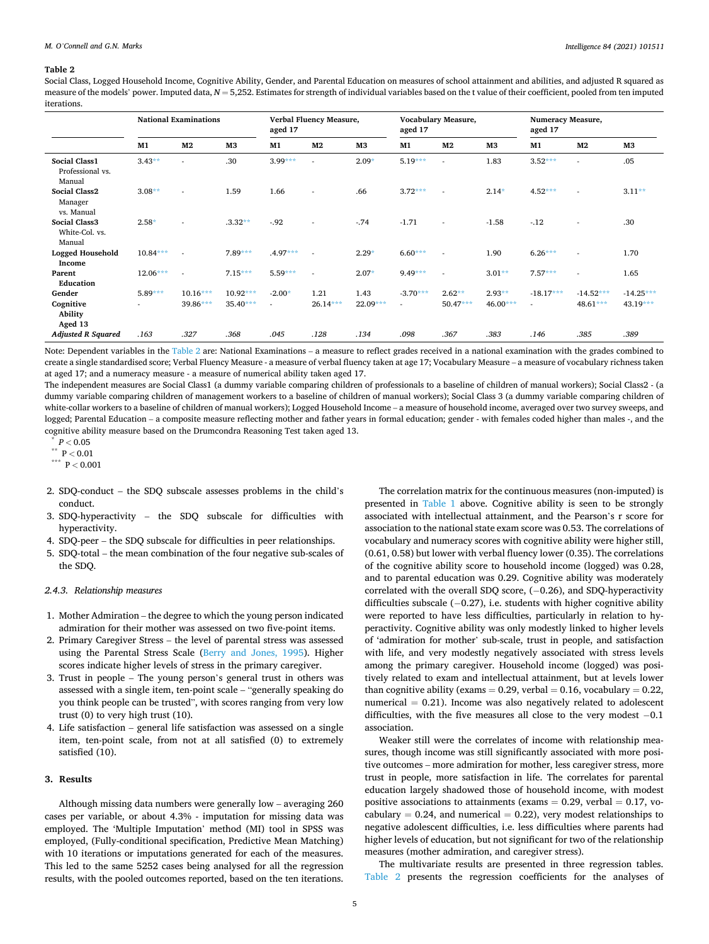# <span id="page-4-0"></span>**Table 2**

Social Class, Logged Household Income, Cognitive Ability, Gender, and Parental Education on measures of school attainment and abilities, and adjusted R squared as measure of the models' power. Imputed data,  $N = 5,252$ . Estimates for strength of individual variables based on the t value of their coefficient, pooled from ten imputed iterations.

|                                                    |            | <b>National Examinations</b> |            | aged 17    | Verbal Fluency Measure,  |            | aged 17                  | Vocabulary Measure, |            | Numeracy Measure,<br>aged 17 |                |             |
|----------------------------------------------------|------------|------------------------------|------------|------------|--------------------------|------------|--------------------------|---------------------|------------|------------------------------|----------------|-------------|
|                                                    | M1         | M <sub>2</sub>               | M3         | M1         | M <sub>2</sub>           | M3         | M1                       | M <sub>2</sub>      | M3         | M1                           | M <sub>2</sub> | M3          |
| <b>Social Class1</b><br>Professional vs.<br>Manual | $3.43**$   |                              | .30        | $3.99***$  | $\mathbf{r}$             | $2.09*$    | $5.19***$                | ä,                  | 1.83       | $3.52***$                    | ä,             | .05         |
| <b>Social Class2</b><br>Manager<br>vs. Manual      | $3.08**$   |                              | 1.59       | 1.66       | $\overline{\phantom{a}}$ | .66        | $3.72***$                | ٠                   | $2.14*$    | 4.52***                      | ä,             | $3.11**$    |
| <b>Social Class3</b><br>White-Col. vs.<br>Manual   | $2.58*$    |                              | $.3.32**$  | $-92$      | ×.                       | $-74$      | $-1.71$                  | ٠                   | $-1.58$    | $-.12$                       | ٠              | .30         |
| <b>Logged Household</b><br>Income                  | $10.84***$ |                              | $7.89***$  | $.4.97***$ |                          | $2.29*$    | $6.60***$                | ٠                   | 1.90       | $6.26***$                    | ٠              | 1.70        |
| Parent<br><b>Education</b>                         | $12.06***$ |                              | $7.15***$  | $5.59***$  |                          | $2.07*$    | $9.49***$                | ٠                   | $3.01**$   | $7.57***$                    | ٠              | 1.65        |
| Gender                                             | $5.89***$  | $10.16***$                   | $10.92***$ | $-2.00*$   | 1.21                     | 1.43       | $-3.70***$               | $2.62**$            | $2.93**$   | $-18.17***$                  | $-14.52***$    | $-14.25***$ |
| Cognitive<br>Ability<br>Aged 13                    |            | 39.86***                     | $35.40***$ | ×.         | $26.14***$               | $22.09***$ | $\overline{\phantom{a}}$ | $50.47***$          | $46.00***$ | $\overline{\phantom{a}}$     | $48.61***$     | $43.19***$  |
| <b>Adjusted R Squared</b>                          | .163       | .327                         | .368       | .045       | .128                     | .134       | .098                     | .367                | .383       | .146                         | .385           | .389        |

Note: Dependent variables in the Table 2 are: National Examinations – a measure to reflect grades received in a national examination with the grades combined to create a single standardised score; Verbal Fluency Measure - a measure of verbal fluency taken at age 17; Vocabulary Measure – a measure of vocabulary richness taken at aged 17; and a numeracy measure - a measure of numerical ability taken aged 17.

The independent measures are Social Class1 (a dummy variable comparing children of professionals to a baseline of children of manual workers); Social Class2 - (a dummy variable comparing children of management workers to a baseline of children of manual workers); Social Class 3 (a dummy variable comparing children of white-collar workers to a baseline of children of manual workers); Logged Household Income – a measure of household income, averaged over two survey sweeps, and logged; Parental Education – a composite measure reflecting mother and father years in formal education; gender - with females coded higher than males -, and the cognitive ability measure based on the Drumcondra Reasoning Test taken aged 13.

\*  $P < 0.05$ 

 $\sqrt{\phantom{a}^{**}}$  P  $< 0.01$ 

\*\*\* P *<* 0.001

- 2. SDQ-conduct the SDQ subscale assesses problems in the child's conduct.
- 3. SDQ-hyperactivity the SDQ subscale for difficulties with hyperactivity.
- 4. SDQ-peer the SDQ subscale for difficulties in peer relationships.
- 5. SDQ-total the mean combination of the four negative sub-scales of the SDQ.

#### *2.4.3. Relationship measures*

- 1. Mother Admiration the degree to which the young person indicated admiration for their mother was assessed on two five-point items.
- 2. Primary Caregiver Stress the level of parental stress was assessed using the Parental Stress Scale ([Berry and Jones, 1995](#page-7-0)). Higher scores indicate higher levels of stress in the primary caregiver.
- 3. Trust in people The young person's general trust in others was assessed with a single item, ten-point scale – "generally speaking do you think people can be trusted", with scores ranging from very low trust (0) to very high trust (10).
- 4. Life satisfaction general life satisfaction was assessed on a single item, ten-point scale, from not at all satisfied (0) to extremely satisfied (10).

#### **3. Results**

Although missing data numbers were generally low – averaging 260 cases per variable, or about 4.3% - imputation for missing data was employed. The 'Multiple Imputation' method (MI) tool in SPSS was employed, (Fully-conditional specification, Predictive Mean Matching) with 10 iterations or imputations generated for each of the measures. This led to the same 5252 cases being analysed for all the regression results, with the pooled outcomes reported, based on the ten iterations.

The correlation matrix for the continuous measures (non-imputed) is presented in [Table 1](#page-3-0) above. Cognitive ability is seen to be strongly associated with intellectual attainment, and the Pearson's r score for association to the national state exam score was 0.53. The correlations of vocabulary and numeracy scores with cognitive ability were higher still, (0.61, 0.58) but lower with verbal fluency lower (0.35). The correlations of the cognitive ability score to household income (logged) was 0.28, and to parental education was 0.29. Cognitive ability was moderately correlated with the overall SDQ score, (−0.26), and SDQ-hyperactivity difficulties subscale (−0.27), i.e. students with higher cognitive ability were reported to have less difficulties, particularly in relation to hyperactivity. Cognitive ability was only modestly linked to higher levels of 'admiration for mother' sub-scale, trust in people, and satisfaction with life, and very modestly negatively associated with stress levels among the primary caregiver. Household income (logged) was positively related to exam and intellectual attainment, but at levels lower than cognitive ability (exams =  $0.29$ , verbal =  $0.16$ , vocabulary =  $0.22$ , numerical  $= 0.21$ ). Income was also negatively related to adolescent difficulties, with the five measures all close to the very modest −0.1 association.

Weaker still were the correlates of income with relationship measures, though income was still significantly associated with more positive outcomes – more admiration for mother, less caregiver stress, more trust in people, more satisfaction in life. The correlates for parental education largely shadowed those of household income, with modest positive associations to attainments (exams  $= 0.29$ , verbal  $= 0.17$ , vocabulary = 0.24, and numerical = 0.22), very modest relationships to negative adolescent difficulties, i.e. less difficulties where parents had higher levels of education, but not significant for two of the relationship measures (mother admiration, and caregiver stress).

The multivariate results are presented in three regression tables. Table 2 presents the regression coefficients for the analyses of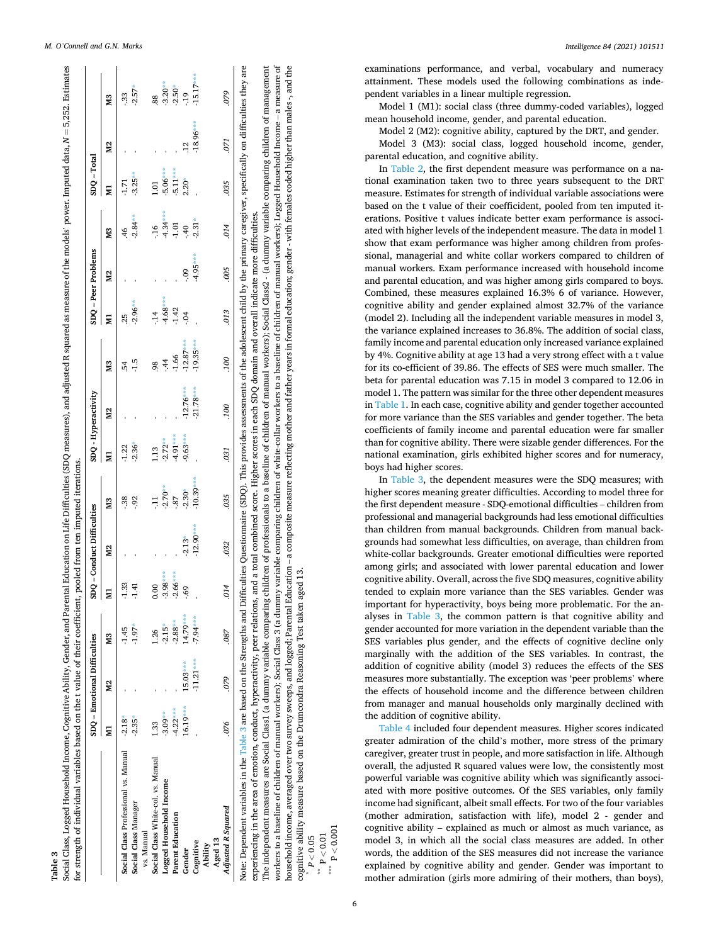|                                      |            | SDQ - Emotional Difficulties |            |            | SDQ - Conduct Difficulties |                | SDQ - Hyperactivity |                |                |            | SDQ - Peer Problems |            | $SDQ - Total$  |                |             |
|--------------------------------------|------------|------------------------------|------------|------------|----------------------------|----------------|---------------------|----------------|----------------|------------|---------------------|------------|----------------|----------------|-------------|
|                                      |            | M <sub>2</sub>               | X3         | E          | N <sub>2</sub>             | M <sub>3</sub> | g                   | M <sub>2</sub> | M <sub>3</sub> | Ę          | N <sub>2</sub>      | X3         | E              | M <sub>2</sub> | X3          |
| Social Class Professional vs. Manual | $-2.18$    |                              | $-1.45$    | $-1.33$    |                            | .38            | $-1.22$             |                | -54            | $^{25}$    |                     | $\ddot{ }$ | -1.71          |                | $-33$       |
| Social Class Manager                 | $-2.35*$   |                              | $-1.97*$   | $-1.41$    |                            | $-92$          | $-2.36*$            |                | م:<br>1.       | $-2.96**$  |                     | $-2.84**$  | $-3.25**$      |                | $-2.57*$    |
| vs. Manual                           |            |                              |            |            |                            |                |                     |                |                |            |                     |            |                |                |             |
| Social Class White-col. vs. Manual   | 1.33       |                              | 1.26       | 0.00       |                            |                | 13                  |                | 98             | $-14$      |                     | $-16$      | $\overline{0}$ |                | 88          |
| Logged Household Income              | $-3.09**$  |                              | $-2.15*$   | $-3.98***$ |                            | $-2.70**$      | $-2.72**$           |                | $\ddot{4}$     | $-4.68***$ |                     | $-4.34***$ | $-5.06***$     |                | $-3.20**$   |
| Parent Education                     | $-4.22***$ |                              | $-2.88***$ | $-2.66***$ |                            | .87            | $4.91***$           |                | $-1.66$        | $-1.42$    |                     | $-1.01$    | $5.11***$      |                | $-2.50*$    |
| Gender                               | $16.19***$ | $15.03***$                   | 14.79***   | eg         | $-2.13*$                   | $-2.30*$       | 9.63***             | $-12.76***$    | $-12.87***$    | $-0.4$     | $60 -$              | $-40$      | $2.20*$        | $\frac{12}{1}$ | $-1.9$      |
| Cognitive                            |            | $-11.21***$                  | $-7.94***$ |            | $-12.90***$                | $-10.39***$    |                     | $-21.78***$    | $-19.35***$    |            | $-4.95***$          | $-2.31*$   |                | $-18.96***$    | $-15.17***$ |
| Aged 13<br>Ability                   |            |                              |            |            |                            |                |                     |                |                |            |                     |            |                |                |             |
| Adjusted R Squared                   | 076        | 620                          | .087       | .014       | .032                       | .035           | .031                | .100           | .100           | .013       | .005                | .014       | .035           | .071           | 620         |

The independent measures are Social Class1 (a dummy variable comparing children of professionals to a baseline of children of manual workers); Social Class2 - (a dummy variable comparing children of management workers to a baseline of children of manual workers); Social Class 3 (a dummy variable comparing children of white-collar workers to a baseline of children of manual workers); Logged Household Income – a measure of household income, averaged over two survey sweeps, and logged; Parental Education – a composite measure reflecting mother and father years in formal education; gender - with females coded higher than males -, and the The independent measures are Social Class1 (a dummy variable comparing children of potessionals to a baseline of children of manual workers); Social Class2 - (a dummy variable comparing children of management workers to a baseline of children of manual workers); Social Class 3 (a dummy variable comparing children of white-collar workers to a baseline of children of manual workers); Logged Household Income – a measure of household income, averaged over two survey sweeps, and logged; Parental Education – a composite measure reflecting mother and father years in formal education; gender - with females coded higher than males -, and the cognitive ability measure based on the Drumcondra Reasoning Test taken aged 13. 13. Reasoning Test taken aged cognitive ability measure based on the Drumcondra \*

*P <* 0.05

 $P < 0.01$ 

\*\*\* P *<* 0.001

*Intelligence 84 (2021) 101511*

examinations performance, and verbal, vocabulary and numeracy attainment. These models used the following combinations as independent variables in a linear multiple regression.

Model 1 (M1): social class (three dummy-coded variables), logged mean household income, gender, and parental education.

Model 2 (M2): cognitive ability, captured by the DRT, and gender. Model 3 (M3): social class, logged household income, gender, parental education, and cognitive ability.

In [Table 2,](#page-4-0) the first dependent measure was performance on a national examination taken two to three years subsequent to the DRT measure. Estimates for strength of individual variable associations were based on the t value of their coefficident, pooled from ten imputed iterations. Positive t values indicate better exam performance is associated with higher levels of the independent measure. The data in model 1 show that exam performance was higher among children from professional, managerial and white collar workers compared to children of manual workers. Exam performance increased with household income and parental education, and was higher among girls compared to boys. Combined, these measures explained 16.3% 6 of variance. However, cognitive ability and gender explained almost 32.7% of the variance (model 2). Including all the independent variable measures in model 3, the variance explained increases to 36.8%. The addition of social class, family income and parental education only increased variance explained by 4%. Cognitive ability at age 13 had a very strong effect with a t value for its co-efficient of 39.86. The effects of SES were much smaller. The beta for parental education was 7.15 in model 3 compared to 12.06 in model 1. The pattern was similar for the three other dependent measures in [Table 1](#page-3-0). In each case, cognitive ability and gender together accounted for more variance than the SES variables and gender together. The beta coefficients of family income and parental education were far smaller than for cognitive ability. There were sizable gender differences. For the national examination, girls exhibited higher scores and for numeracy, boys had higher scores.

In Table 3, the dependent measures were the SDQ measures; with higher scores meaning greater difficulties. According to model three for the first dependent measure - SDQ-emotional difficulties – children from professional and managerial backgrounds had less emotional difficulties than children from manual backgrounds. Children from manual backgrounds had somewhat less difficulties, on average, than children from white-collar backgrounds. Greater emotional difficulties were reported among girls; and associated with lower parental education and lower cognitive ability. Overall, across the five SDQ measures, cognitive ability tended to explain more variance than the SES variables. Gender was important for hyperactivity, boys being more problematic. For the analyses in Table 3, the common pattern is that cognitive ability and gender accounted for more variation in the dependent variable than the SES variables plus gender, and the effects of cognitive decline only marginally with the addition of the SES variables. In contrast, the addition of cognitive ability (model 3) reduces the effects of the SES measures more substantially. The exception was 'peer problems' where the effects of household income and the difference between children from manager and manual households only marginally declined with the addition of cognitive ability.

[Table 4](#page-6-0) included four dependent measures. Higher scores indicated greater admiration of the child's mother, more stress of the primary caregiver, greater trust in people, and more satisfaction in life. Although overall, the adjusted R squared values were low, the consistently most powerful variable was cognitive ability which was significantly associated with more positive outcomes. Of the SES variables, only family income had significant, albeit small effects. For two of the four variables (mother admiration, satisfaction with life), model 2 - gender and cognitive ability – explained as much or almost as much variance, as model 3, in which all the social class measures are added. In other words, the addition of the SES measures did not increase the variance explained by cognitive ability and gender. Gender was important to mother admiration (girls more admiring of their mothers, than boys),

 $\mathbf{r}$ 

s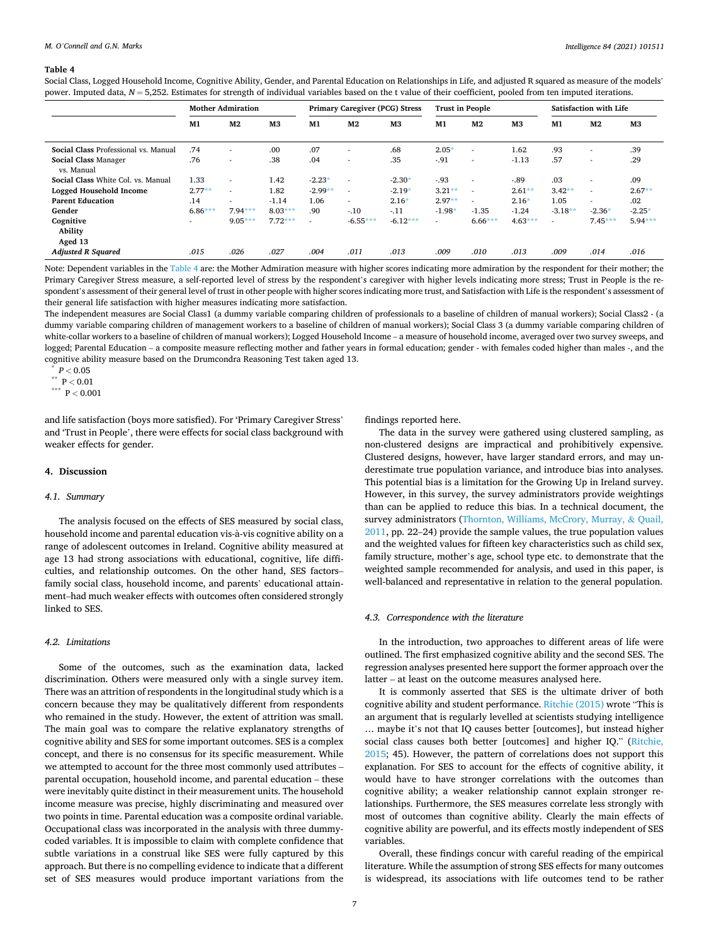#### <span id="page-6-0"></span>**Table 4**

Social Class, Logged Household Income, Cognitive Ability, Gender, and Parental Education on Relationships in Life, and adjusted R squared as measure of the models' power. Imputed data,  $N = 5,252$ . Estimates for strength of individual variables based on the t value of their coefficient, pooled from ten imputed iterations.

|                                           |                          | <b>Mother Admiration</b> |                |           | <b>Primary Caregiver (PCG) Stress</b> |                | <b>Trust in People</b>   |                          |                |           | Satisfaction with Life   |                |
|-------------------------------------------|--------------------------|--------------------------|----------------|-----------|---------------------------------------|----------------|--------------------------|--------------------------|----------------|-----------|--------------------------|----------------|
|                                           | M1                       | M <sub>2</sub>           | M <sub>3</sub> | M1        | M <sub>2</sub>                        | M <sub>3</sub> | M1                       | M <sub>2</sub>           | M <sub>3</sub> | M1        | M <sub>2</sub>           | M <sub>3</sub> |
| Social Class Professional vs. Manual      | .74                      | $\overline{\phantom{a}}$ | .00            | .07       | $\overline{\phantom{a}}$              | .68            | $2.05*$                  | $\overline{\phantom{a}}$ | 1.62           | .93       | $\overline{a}$           | .39            |
| <b>Social Class Manager</b><br>vs. Manual | .76                      | $\overline{\phantom{a}}$ | .38            | .04       | $\overline{\phantom{a}}$              | .35            | $-91$                    | $\overline{\phantom{a}}$ | $-1.13$        | .57       |                          | .29            |
| Social Class White Col. vs. Manual        | 1.33                     | ۰                        | 1.42           | $-2.23*$  | $\overline{a}$                        | $-2.30*$       | $-93$                    | $\overline{\phantom{a}}$ | $-.89$         | .03       | $\overline{\phantom{a}}$ | .09            |
| <b>Logged Household Income</b>            | $2.77**$                 | ۰                        | 1.82           | $-2.99**$ | $\overline{a}$                        | $-2.19*$       | $3.21**$                 | $\overline{\phantom{a}}$ | $2.61***$      | $3.42**$  | $\overline{\phantom{a}}$ | $2.67**$       |
| <b>Parent Education</b>                   | .14                      | ۰                        | $-1.14$        | 1.06      | $\sim$                                | $2.16*$        | $2.97**$                 | $\overline{\phantom{a}}$ | $2.16*$        | 1.05      | $\overline{\phantom{a}}$ | .02            |
| Gender                                    | $6.86***$                | $7.94***$                | $8.03***$      | .90       | $-.10$                                | $-.11$         | $-1.98*$                 | $-1.35$                  | $-1.24$        | $-3.18**$ | $-2.36*$                 | $-2.25*$       |
| Cognitive                                 | $\overline{\phantom{a}}$ | $9.05***$                | $7.72***$      | ۰         | $-6.55***$                            | $-6.12***$     | $\overline{\phantom{a}}$ | $6.66***$                | $4.63***$      | $\sim$    | $7.45***$                | $5.94***$      |
| Ability                                   |                          |                          |                |           |                                       |                |                          |                          |                |           |                          |                |
| Aged 13                                   |                          |                          |                |           |                                       |                |                          |                          |                |           |                          |                |
| <b>Adjusted R Squared</b>                 | .015                     | .026                     | .027           | .004      | .011                                  | .013           | .009                     | .010                     | .013           | .009      | .014                     | .016           |

Note: Dependent variables in the Table 4 are: the Mother Admiration measure with higher scores indicating more admiration by the respondent for their mother; the Primary Caregiver Stress measure, a self-reported level of stress by the respondent's caregiver with higher levels indicating more stress; Trust in People is the respondent's assessment of their general level of trust in other people with higher scores indicating more trust, and Satisfaction with Life is the respondent's assessment of their general life satisfaction with higher measures indicating more satisfaction.

The independent measures are Social Class1 (a dummy variable comparing children of professionals to a baseline of children of manual workers); Social Class2 - (a dummy variable comparing children of management workers to a baseline of children of manual workers); Social Class 3 (a dummy variable comparing children of white-collar workers to a baseline of children of manual workers); Logged Household Income – a measure of household income, averaged over two survey sweeps, and logged; Parental Education – a composite measure reflecting mother and father years in formal education; gender - with females coded higher than males -, and the cognitive ability measure based on the Drumcondra Reasoning Test taken aged 13.

\*  $P < 0.05$ 

\*\* P *<* 0.01

\*\*\* P *<* 0.001

and life satisfaction (boys more satisfied). For 'Primary Caregiver Stress' and 'Trust in People', there were effects for social class background with weaker effects for gender.

## **4. Discussion**

## *4.1. Summary*

The analysis focused on the effects of SES measured by social class, household income and parental education vis-à-vis cognitive ability on a range of adolescent outcomes in Ireland. Cognitive ability measured at age 13 had strong associations with educational, cognitive, life difficulties, and relationship outcomes. On the other hand, SES factors– family social class, household income, and parents' educational attainment–had much weaker effects with outcomes often considered strongly linked to SES.

# *4.2. Limitations*

Some of the outcomes, such as the examination data, lacked discrimination. Others were measured only with a single survey item. There was an attrition of respondents in the longitudinal study which is a concern because they may be qualitatively different from respondents who remained in the study. However, the extent of attrition was small. The main goal was to compare the relative explanatory strengths of cognitive ability and SES for some important outcomes. SES is a complex concept, and there is no consensus for its specific measurement. While we attempted to account for the three most commonly used attributes – parental occupation, household income, and parental education – these were inevitably quite distinct in their measurement units. The household income measure was precise, highly discriminating and measured over two points in time. Parental education was a composite ordinal variable. Occupational class was incorporated in the analysis with three dummycoded variables. It is impossible to claim with complete confidence that subtle variations in a construal like SES were fully captured by this approach. But there is no compelling evidence to indicate that a different set of SES measures would produce important variations from the

findings reported here.

The data in the survey were gathered using clustered sampling, as non-clustered designs are impractical and prohibitively expensive. Clustered designs, however, have larger standard errors, and may underestimate true population variance, and introduce bias into analyses. This potential bias is a limitation for the Growing Up in Ireland survey. However, in this survey, the survey administrators provide weightings than can be applied to reduce this bias. In a technical document, the survey administrators ([Thornton, Williams, McCrory, Murray,](#page-8-0) & Quail, [2011,](#page-8-0) pp. 22–24) provide the sample values, the true population values and the weighted values for fifteen key characteristics such as child sex, family structure, mother's age, school type etc. to demonstrate that the weighted sample recommended for analysis, and used in this paper, is well-balanced and representative in relation to the general population.

# *4.3. Correspondence with the literature*

In the introduction, two approaches to different areas of life were outlined. The first emphasized cognitive ability and the second SES. The regression analyses presented here support the former approach over the latter – at least on the outcome measures analysed here.

It is commonly asserted that SES is the ultimate driver of both cognitive ability and student performance. [Ritchie \(2015\)](#page-8-0) wrote "This is an argument that is regularly levelled at scientists studying intelligence … maybe it's not that IQ causes better [outcomes], but instead higher social class causes both better [outcomes] and higher IQ." ([Ritchie,](#page-8-0)  [2015;](#page-8-0) 45). However, the pattern of correlations does not support this explanation. For SES to account for the effects of cognitive ability, it would have to have stronger correlations with the outcomes than cognitive ability; a weaker relationship cannot explain stronger relationships. Furthermore, the SES measures correlate less strongly with most of outcomes than cognitive ability. Clearly the main effects of cognitive ability are powerful, and its effects mostly independent of SES variables.

Overall, these findings concur with careful reading of the empirical literature. While the assumption of strong SES effects for many outcomes is widespread, its associations with life outcomes tend to be rather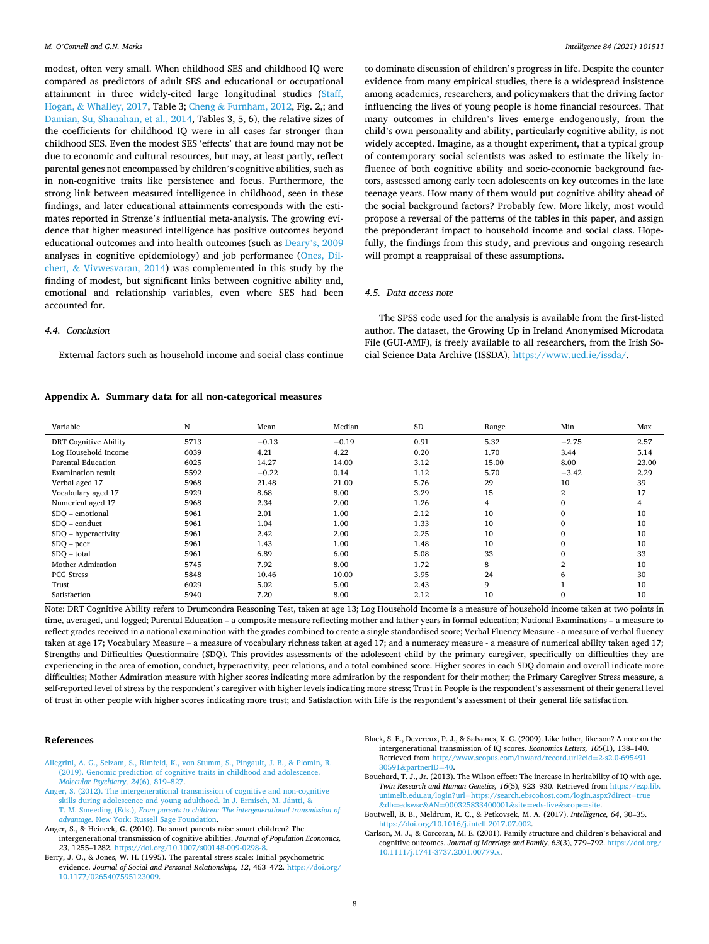<span id="page-7-0"></span>modest, often very small. When childhood SES and childhood IQ were compared as predictors of adult SES and educational or occupational attainment in three widely-cited large longitudinal studies [\(Staff,](#page-8-0)  Hogan, & [Whalley, 2017](#page-8-0), Table 3; Cheng & [Furnham, 2012](#page-8-0), Fig. 2,; and [Damian, Su, Shanahan, et al., 2014,](#page-8-0) Tables 3, 5, 6), the relative sizes of the coefficients for childhood IQ were in all cases far stronger than childhood SES. Even the modest SES 'effects' that are found may not be due to economic and cultural resources, but may, at least partly, reflect parental genes not encompassed by children's cognitive abilities, such as in non-cognitive traits like persistence and focus. Furthermore, the strong link between measured intelligence in childhood, seen in these findings, and later educational attainments corresponds with the estimates reported in Strenze's influential meta-analysis. The growing evidence that higher measured intelligence has positive outcomes beyond educational outcomes and into health outcomes (such as Deary'[s, 2009](#page-8-0)  analyses in cognitive epidemiology) and job performance ([Ones, Dil](#page-8-0)chert, & [Vivwesvaran, 2014](#page-8-0)) was complemented in this study by the finding of modest, but significant links between cognitive ability and, emotional and relationship variables, even where SES had been accounted for.

to dominate discussion of children's progress in life. Despite the counter evidence from many empirical studies, there is a widespread insistence among academics, researchers, and policymakers that the driving factor influencing the lives of young people is home financial resources. That many outcomes in children's lives emerge endogenously, from the child's own personality and ability, particularly cognitive ability, is not widely accepted. Imagine, as a thought experiment, that a typical group of contemporary social scientists was asked to estimate the likely influence of both cognitive ability and socio-economic background factors, assessed among early teen adolescents on key outcomes in the late teenage years. How many of them would put cognitive ability ahead of the social background factors? Probably few. More likely, most would propose a reversal of the patterns of the tables in this paper, and assign the preponderant impact to household income and social class. Hopefully, the findings from this study, and previous and ongoing research will prompt a reappraisal of these assumptions.

The SPSS code used for the analysis is available from the first-listed author. The dataset, the Growing Up in Ireland Anonymised Microdata File (GUI-AMF), is freely available to all researchers, from the Irish Social Science Data Archive (ISSDA),<https://www.ucd.ie/issda/>.

# *4.5. Data access note*

# *4.4. Conclusion*

External factors such as household income and social class continue

# **Appendix A. Summary data for all non-categorical measures**

| Variable                     | N    | Mean    | Median  | <b>SD</b> | Range          | Min            | Max   |
|------------------------------|------|---------|---------|-----------|----------------|----------------|-------|
| <b>DRT Cognitive Ability</b> | 5713 | $-0.13$ | $-0.19$ | 0.91      | 5.32           | $-2.75$        | 2.57  |
| Log Household Income         | 6039 | 4.21    | 4.22    | 0.20      | 1.70           | 3.44           | 5.14  |
| Parental Education           | 6025 | 14.27   | 14.00   | 3.12      | 15.00          | 8.00           | 23.00 |
| Examination result           | 5592 | $-0.22$ | 0.14    | 1.12      | 5.70           | $-3.42$        | 2.29  |
| Verbal aged 17               | 5968 | 21.48   | 21.00   | 5.76      | 29             | 10             | 39    |
| Vocabulary aged 17           | 5929 | 8.68    | 8.00    | 3.29      | 15             | $\overline{2}$ | 17    |
| Numerical aged 17            | 5968 | 2.34    | 2.00    | 1.26      | $\overline{4}$ | 0              | 4     |
| SDO - emotional              | 5961 | 2.01    | 1.00    | 2.12      | 10             | $\Omega$       | 10    |
| $SDO - conduct$              | 5961 | 1.04    | 1.00    | 1.33      | 10             |                | 10    |
| SDO – hyperactivity          | 5961 | 2.42    | 2.00    | 2.25      | 10             |                | 10    |
| $SDO - peer$                 | 5961 | 1.43    | 1.00    | 1.48      | 10             |                | 10    |
| SDO – total                  | 5961 | 6.89    | 6.00    | 5.08      | 33             |                | 33    |
| Mother Admiration            | 5745 | 7.92    | 8.00    | 1.72      | 8              | $\overline{2}$ | 10    |
| <b>PCG Stress</b>            | 5848 | 10.46   | 10.00   | 3.95      | 24             | 6              | 30    |
| Trust                        | 6029 | 5.02    | 5.00    | 2.43      | 9              |                | 10    |

Note: DRT Cognitive Ability refers to Drumcondra Reasoning Test, taken at age 13; Log Household Income is a measure of household income taken at two points in time, averaged, and logged; Parental Education – a composite measure reflecting mother and father years in formal education; National Examinations – a measure to reflect grades received in a national examination with the grades combined to create a single standardised score; Verbal Fluency Measure - a measure of verbal fluency taken at age 17; Vocabulary Measure – a measure of vocabulary richness taken at aged 17; and a numeracy measure - a measure of numerical ability taken aged 17; Strengths and Difficulties Questionnaire (SDQ). This provides assessments of the adolescent child by the primary caregiver, specifically on difficulties they are experiencing in the area of emotion, conduct, hyperactivity, peer relations, and a total combined score. Higher scores in each SDQ domain and overall indicate more difficulties; Mother Admiration measure with higher scores indicating more admiration by the respondent for their mother; the Primary Caregiver Stress measure, a self-reported level of stress by the respondent's caregiver with higher levels indicating more stress; Trust in People is the respondent's assessment of their general level of trust in other people with higher scores indicating more trust; and Satisfaction with Life is the respondent's assessment of their general life satisfaction.

Satisfaction 5940 7.20 8.00 2.12 10 0 10

## **References**

- [Allegrini, A. G., Selzam, S., Rimfeld, K., von Stumm, S., Pingault, J. B., & Plomin, R.](http://refhub.elsevier.com/S0160-2896(20)30089-1/rf0005)  [\(2019\). Genomic prediction of cognitive traits in childhood and adolescence.](http://refhub.elsevier.com/S0160-2896(20)30089-1/rf0005) *[Molecular Psychiatry, 24](http://refhub.elsevier.com/S0160-2896(20)30089-1/rf0005)*(6), 819–827.
- [Anger, S. \(2012\). The intergenerational transmission of cognitive and non-cognitive](http://refhub.elsevier.com/S0160-2896(20)30089-1/rf0010)  [skills during adolescence and young adulthood. In J. Ermisch, M. J](http://refhub.elsevier.com/S0160-2896(20)30089-1/rf0010)äntti, & T. M. Smeeding (Eds.), *[From parents to children: The intergenerational transmission of](http://refhub.elsevier.com/S0160-2896(20)30089-1/rf0010)  advantage*[. New York: Russell Sage Foundation.](http://refhub.elsevier.com/S0160-2896(20)30089-1/rf0010)
- Anger, S., & Heineck, G. (2010). Do smart parents raise smart children? The intergenerational transmission of cognitive abilities. *Journal of Population Economics,*  23, 1255–1282. https://doi.org/10.1007/s00148-009-0298
- Berry, J. O., & Jones, W. H. (1995). The parental stress scale: Initial psychometric evidence. *Journal of Social and Personal Relationships, 12*, 463–472. [https://doi.org/](https://doi.org/10.1177/0265407595123009)  [10.1177/0265407595123009](https://doi.org/10.1177/0265407595123009).
- Black, S. E., Devereux, P. J., & Salvanes, K. G. (2009). Like father, like son? A note on the intergenerational transmission of IQ scores. *Economics Letters, 105*(1), 138–140. Retrieved from [http://www.scopus.com/inward/record.url?eid](http://www.scopus.com/inward/record.url?eid=2-s2.0-69549130591&partnerID=40)=2-s2.0-695491 30591&[partnerID](http://www.scopus.com/inward/record.url?eid=2-s2.0-69549130591&partnerID=40)=40.
- Bouchard, T. J., Jr. (2013). The Wilson effect: The increase in heritability of IQ with age. *Twin Research and Human Genetics, 16*(5), 923–930. Retrieved from [https://ezp.lib.](https://ezp.lib.unimelb.edu.au/login?url=https://search.ebscohost.com/login.aspx?direct=true&db=edswsc&AN=000325833400001&site=eds-live&scope=site) unimelb.edu.au/login?url=[https://search.ebscohost.com/login.aspx?direct](https://ezp.lib.unimelb.edu.au/login?url=https://search.ebscohost.com/login.aspx?direct=true&db=edswsc&AN=000325833400001&site=eds-live&scope=site)=true<br>&db=edswsc&AN=000325833400001&site=eds-live&scope=site. &db=edswsc&AN=[000325833400001](https://ezp.lib.unimelb.edu.au/login?url=https://search.ebscohost.com/login.aspx?direct=true&db=edswsc&AN=000325833400001&site=eds-live&scope=site)&site=eds-live&scope=site.
- Boutwell, B. B., Meldrum, R. C., & Petkovsek, M. A. (2017). *Intelligence, 64*, 30–35. <https://doi.org/10.1016/j.intell.2017.07.002>.
- Carlson, M. J., & Corcoran, M. E. (2001). Family structure and children's behavioral and cognitive outcomes. *Journal of Marriage and Family, 63*(3), 779–792. [https://doi.org/](https://doi.org/10.1111/j.1741-3737.2001.00779.x)  [10.1111/j.1741-3737.2001.00779.x](https://doi.org/10.1111/j.1741-3737.2001.00779.x).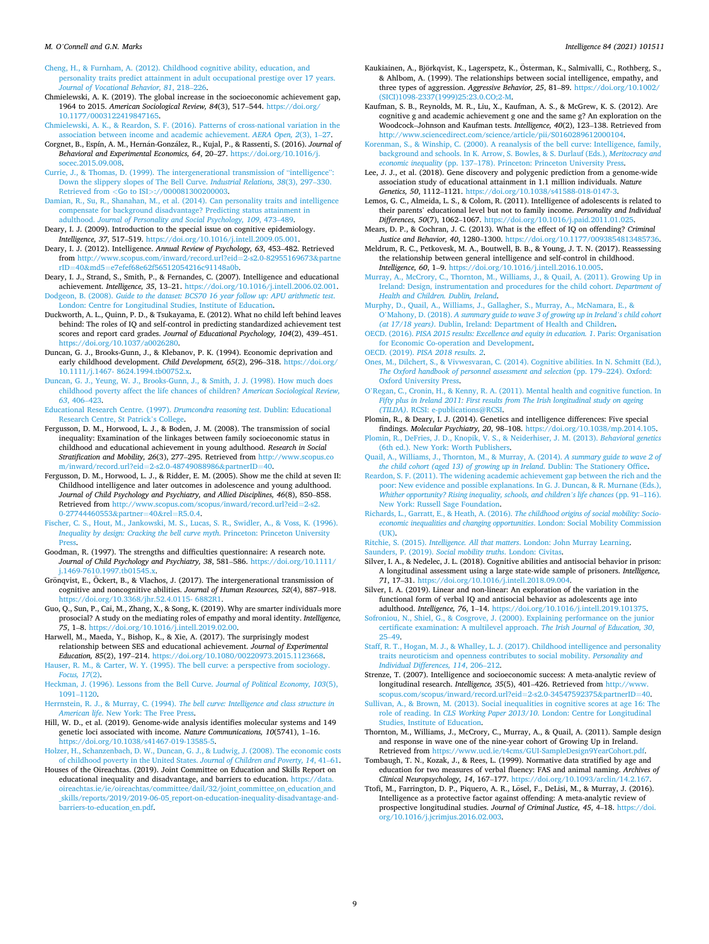<span id="page-8-0"></span>[Cheng, H., & Furnham, A. \(2012\). Childhood cognitive ability, education, and](http://refhub.elsevier.com/S0160-2896(20)30089-1/rf0040)  [personality traits predict attainment in adult occupational prestige over 17 years.](http://refhub.elsevier.com/S0160-2896(20)30089-1/rf0040) *[Journal of Vocational Behavior, 81](http://refhub.elsevier.com/S0160-2896(20)30089-1/rf0040)*, 218–226.

Chmielewski, A. K. (2019). The global increase in the socioeconomic achievement gap, 1964 to 2015. *American Sociological Review, 84*(3), 517–544. [https://doi.org/](https://doi.org/10.1177/0003122419847165) [10.1177/0003122419847165](https://doi.org/10.1177/0003122419847165).

- [Chmielewski, A. K., & Reardon, S. F. \(2016\). Patterns of cross-national variation in the](http://refhub.elsevier.com/S0160-2896(20)30089-1/rf0050)  [association between income and academic achievement.](http://refhub.elsevier.com/S0160-2896(20)30089-1/rf0050) *AERA Open, 2*(3), 1–27.
- Corgnet, B., Espín, A. M., Hernán-González, R., Kujal, P., & Rassenti, S. (2016). *Journal of Behavioral and Experimental Economics, 64*, 20–27. [https://doi.org/10.1016/j.](https://doi.org/10.1016/j.socec.2015.09.008) [socec.2015.09.008](https://doi.org/10.1016/j.socec.2015.09.008).
- [Currie, J., & Thomas, D. \(1999\). The intergenerational transmission of](http://refhub.elsevier.com/S0160-2896(20)30089-1/rf0055) "intelligence": [Down the slippery slopes of The Bell Curve.](http://refhub.elsevier.com/S0160-2896(20)30089-1/rf0055) *Industrial Relations, 38*(3), 297–330. Retrieved from *<*Go to ISI*>*[://000081300200003](http://refhub.elsevier.com/S0160-2896(20)30089-1/rf0055).
- [Damian, R., Su, R., Shanahan, M., et al. \(2014\). Can personality traits and intelligence](http://refhub.elsevier.com/S0160-2896(20)30089-1/rf0060)  [compensate for background disadvantage? Predicting status attainment in](http://refhub.elsevier.com/S0160-2896(20)30089-1/rf0060)  adulthood. *[Journal of Personality and Social Psychology, 109](http://refhub.elsevier.com/S0160-2896(20)30089-1/rf0060)*, 473–489.
- Deary, I. J. (2009). Introduction to the special issue on cognitive epidemiology. *Intelligence, 37*, 517–519. <https://doi.org/10.1016/j.intell.2009.05.001>.
- Deary, I. J. (2012). Intelligence. *Annual Review of Psychology, 63*, 453–482. Retrieved from [http://www.scopus.com/inward/record.url?eid](http://www.scopus.com/inward/record.url?eid=2-s2.0-82955169673&partnerID=40&md5=e7efef68e62f56512054216c91148a0b)=2-s2.0-82955169673&partne rID=40&md5=[e7efef68e62f56512054216c91148a0b.](http://www.scopus.com/inward/record.url?eid=2-s2.0-82955169673&partnerID=40&md5=e7efef68e62f56512054216c91148a0b)
- Deary, I. J., Strand, S., Smith, P., & Fernandes, C. (2007). Intelligence and educational achievement. *Intelligence, 35*, 13–21. [https://doi.org/10.1016/j.intell.2006.02.001.](https://doi.org/10.1016/j.intell.2006.02.001) Dodgeon, B. (2008). *[Guide to the dataset: BCS70 16 year follow up: APU arithmetic test](http://refhub.elsevier.com/S0160-2896(20)30089-1/rf0085)*.
- [London: Centre for Longitudinal Studies, Institute of Education](http://refhub.elsevier.com/S0160-2896(20)30089-1/rf0085).
- Duckworth, A. L., Quinn, P. D., & Tsukayama, E. (2012). What no child left behind leaves behind: The roles of IQ and self-control in predicting standardized achievement test scores and report card grades. *Journal of Educational Psychology, 104*(2), 439–451. [https://doi.org/10.1037/a0026280.](https://doi.org/10.1037/a0026280)
- Duncan, G. J., Brooks-Gunn, J., & Klebanov, P. K. (1994). Economic deprivation and early childhood development. *Child Development, 65*(2), 296–318. [https://doi.org/](https://doi.org/10.1111/j.1467- 8624.1994.tb00752.x)  [10.1111/j.1467- 8624.1994.tb00752.x](https://doi.org/10.1111/j.1467- 8624.1994.tb00752.x).
- [Duncan, G. J., Yeung, W. J., Brooks-Gunn, J., & Smith, J. J. \(1998\). How much does](http://refhub.elsevier.com/S0160-2896(20)30089-1/rf0100)  [childhood poverty affect the life chances of children?](http://refhub.elsevier.com/S0160-2896(20)30089-1/rf0100) *American Sociological Review, 63*[, 406](http://refhub.elsevier.com/S0160-2896(20)30089-1/rf0100)–423.
- [Educational Research Centre. \(1997\).](http://refhub.elsevier.com/S0160-2896(20)30089-1/rf0105) *Drumcondra reasoning test*. Dublin: Educational [Research Centre, St Patrick](http://refhub.elsevier.com/S0160-2896(20)30089-1/rf0105)'s College.
- Fergusson, D. M., Horwood, L. J., & Boden, J. M. (2008). The transmission of social inequality: Examination of the linkages between family socioeconomic status in childhood and educational achievement in young adulthood. *Research in Social Stratification and Mobility, 26*(3), 277–295. Retrieved from [http://www.scopus.co](http://www.scopus.com/inward/record.url?eid=2-s2.0-48749088986&partnerID=40)  [m/inward/record.url?eid](http://www.scopus.com/inward/record.url?eid=2-s2.0-48749088986&partnerID=40)=2-s2.0-48749088986&partnerID=40.
- Fergusson, D. M., Horwood, L. J., & Ridder, E. M. (2005). Show me the child at seven II: Childhood intelligence and later outcomes in adolescence and young adulthood. *Journal of Child Psychology and Psychiatry, and Allied Disciplines, 46*(8), 850–858. Retrieved from [http://www.scopus.com/scopus/inward/record.url?eid](http://www.scopus.com/scopus/inward/record.url?eid=2-s2.0-27744460553&partner=40&rel=R5.0.4)=2-s2. [0-27744460553](http://www.scopus.com/scopus/inward/record.url?eid=2-s2.0-27744460553&partner=40&rel=R5.0.4)&partner=40&rel=R5.0.4.
- [Fischer, C. S., Hout, M., Jankowski, M. S., Lucas, S. R., Swidler, A., & Voss, K. \(1996\).](http://refhub.elsevier.com/S0160-2896(20)30089-1/rf0120) *[Inequality by design: Cracking the bell curve myth](http://refhub.elsevier.com/S0160-2896(20)30089-1/rf0120)*. Princeton: Princeton University [Press.](http://refhub.elsevier.com/S0160-2896(20)30089-1/rf0120)
- Goodman, R. (1997). The strengths and difficulties questionnaire: A research note. *Journal of Child Psychology and Psychiatry, 38*, 581–586. [https://doi.org/10.1111/](https://doi.org/10.1111/j.1469-7610.1997.tb01545.x) [j.1469-7610.1997.tb01545.x.](https://doi.org/10.1111/j.1469-7610.1997.tb01545.x)
- Grönqvist, E., Öckert, B., & Vlachos, J. (2017). The intergenerational transmission of cognitive and noncognitive abilities. *Journal of Human Resources, 52*(4), 887–918. <https://doi.org/10.3368/jhr.52.4.0115- 6882R1>.
- Guo, Q., Sun, P., Cai, M., Zhang, X., & Song, K. (2019). Why are smarter individuals more prosocial? A study on the mediating roles of empathy and moral identity. *Intelligence, 75*, 1–8. [https://doi.org/10.1016/j.intell.2019.02.00.](https://doi.org/10.1016/j.intell.2019.02.00)
- Harwell, M., Maeda, Y., Bishop, K., & Xie, A. (2017). The surprisingly modest relationship between SES and educational achievement. *Journal of Experimental Education, 85*(2), 197–214. [https://doi.org/10.1080/00220973.2015.1123668.](https://doi.org/10.1080/00220973.2015.1123668) [Hauser, R. M., & Carter, W. Y. \(1995\). The bell curve: a perspective from sociology.](http://refhub.elsevier.com/S0160-2896(20)30089-1/rf0140)
- *[Focus, 17](http://refhub.elsevier.com/S0160-2896(20)30089-1/rf0140)*(2). [Heckman, J. \(1996\). Lessons from the Bell Curve.](http://refhub.elsevier.com/S0160-2896(20)30089-1/rf0145) *Journal of Political Economy, 103*(5),
- [1091](http://refhub.elsevier.com/S0160-2896(20)30089-1/rf0145)–1120. Herrnstein, R. J., & Murray, C. (1994). *[The bell curve: Intelligence and class structure in](http://refhub.elsevier.com/S0160-2896(20)30089-1/rf0150)*
- *American life*[. New York: The Free Press.](http://refhub.elsevier.com/S0160-2896(20)30089-1/rf0150) Hill, W. D., et al. (2019). Genome-wide analysis identifies molecular systems and 149 genetic loci associated with income. *Nature Communications, 10*(5741), 1–16. <https://doi.org/10.1038/s41467-019-13585-5>.
- [Holzer, H., Schanzenbach, D. W., Duncan, G. J., & Ludwig, J. \(2008\). The economic costs](http://refhub.elsevier.com/S0160-2896(20)30089-1/rf0160)  [of childhood poverty in the United States.](http://refhub.elsevier.com/S0160-2896(20)30089-1/rf0160) *Journal of Children and Poverty, 14*, 41–61.
- Houses of the Oireachtas. (2019). Joint Committee on Education and Skills Report on educational inequality and disadvantage, and barriers to education. [https://data.](https://data.oireachtas.ie/ie/oireachtas/committee/dail/32/joint_committee_on_education_and_skills/reports/2019/2019-06-05_report-on-education-inequality-disadvantage-and-barriers-to-education_en.pdf)  [oireachtas.ie/ie/oireachtas/committee/dail/32/joint\\_committee\\_on\\_education\\_and](https://data.oireachtas.ie/ie/oireachtas/committee/dail/32/joint_committee_on_education_and_skills/reports/2019/2019-06-05_report-on-education-inequality-disadvantage-and-barriers-to-education_en.pdf) [\\_skills/reports/2019/2019-06-05\\_report-on-education-inequality-disadvantage-and](https://data.oireachtas.ie/ie/oireachtas/committee/dail/32/joint_committee_on_education_and_skills/reports/2019/2019-06-05_report-on-education-inequality-disadvantage-and-barriers-to-education_en.pdf)[barriers-to-education\\_en.pdf.](https://data.oireachtas.ie/ie/oireachtas/committee/dail/32/joint_committee_on_education_and_skills/reports/2019/2019-06-05_report-on-education-inequality-disadvantage-and-barriers-to-education_en.pdf)
- Kaukiainen, A., Björkqvist, K., Lagerspetz, K., Österman, K., Salmivalli, C., Rothberg, S., & Ahlbom, A. (1999). The relationships between social intelligence, empathy, and three types of aggression. *Aggressive Behavior, 25*, 81–89. [https://doi.org/10.1002/](https://doi.org/10.1002/(SICI)1098-2337(1999)25:23.0.CO;2-M) [\(SICI\)1098-2337\(1999\)25:23.0.CO;2-M.](https://doi.org/10.1002/(SICI)1098-2337(1999)25:23.0.CO;2-M)
- Kaufman, S. B., Reynolds, M. R., Liu, X., Kaufman, A. S., & McGrew, K. S. (2012). Are cognitive g and academic achievement g one and the same g? An exploration on the Woodcock–Johnson and Kaufman tests. *Intelligence, 40*(2), 123–138. Retrieved from [http://www.sciencedirect.com/science/article/pii/S0160289612000104.](http://www.sciencedirect.com/science/article/pii/S0160289612000104)

[Korenman, S., & Winship, C. \(2000\). A reanalysis of the bell curve: Intelligence, family,](http://refhub.elsevier.com/S0160-2896(20)30089-1/rf0175)  [background and schools. In K. Arrow, S. Bowles, & S. Durlauf \(Eds.\),](http://refhub.elsevier.com/S0160-2896(20)30089-1/rf0175) *Meritocracy and economic inequality* (pp. 137–[178\). Princeton: Princeton University Press](http://refhub.elsevier.com/S0160-2896(20)30089-1/rf0175).

- Lee, J. J., et al. (2018). Gene discovery and polygenic prediction from a genome-wide association study of educational attainment in 1.1 million individuals. *Nature Genetics, 50*, 1112–1121.<https://doi.org/10.1038/s41588-018-0147-3>.
- Lemos, G. C., Almeida, L. S., & Colom, R. (2011). Intelligence of adolescents is related to their parents' educational level but not to family income. *Personality and Individual Differences, 50*(7), 1062–1067. <https://doi.org/10.1016/j.paid.2011.01.025>.
- Mears, D. P., & Cochran, J. C. (2013). What is the effect of IQ on offending? *Criminal Justice and Behavior, 40*, 1280–1300. [https://doi.org/10.1177/0093854813485736.](https://doi.org/10.1177/0093854813485736)
- Meldrum, R. C., Petkovesk, M. A., Boutwell, B. B., & Young, J. T. N. (2017). Reassessing the relationship between general intelligence and self-control in childhood. *Intelligence, 60*, 1–9.<https://doi.org/10.1016/j.intell.2016.10.005>.
- [Murray, A., McCrory, C., Thornton, M., Williams, J., & Quail, A. \(2011\). Growing Up in](http://refhub.elsevier.com/S0160-2896(20)30089-1/rf9063)  [Ireland: Design, instrumentation and procedures for the child cohort.](http://refhub.elsevier.com/S0160-2896(20)30089-1/rf9063) *Department of [Health and Children. Dublin, Ireland](http://refhub.elsevier.com/S0160-2896(20)30089-1/rf9063)*.
- [Murphy, D., Quail, A., Williams, J., Gallagher, S., Murray, A., McNamara, E., &](http://refhub.elsevier.com/S0160-2896(20)30089-1/rf0190) O'Mahony, D. (2018). *[A summary guide to wave 3 of growing up in Ireland](http://refhub.elsevier.com/S0160-2896(20)30089-1/rf0190)'s child cohort (at 17/18 years)*[. Dublin, Ireland: Department of Health and Children.](http://refhub.elsevier.com/S0160-2896(20)30089-1/rf0190)
- OECD. (2016). *[PISA 2015 results: Excellence and equity in education. 1](http://refhub.elsevier.com/S0160-2896(20)30089-1/rf0195)*. Paris: Organisation [for Economic Co-operation and Development](http://refhub.elsevier.com/S0160-2896(20)30089-1/rf0195).
- OECD. (2019). *[PISA 2018 results. 2](http://refhub.elsevier.com/S0160-2896(20)30089-1/rf0200)*.
- [Ones, M., Dilchert, S., & Vivwesvaran, C. \(2014\). Cognitive abilities. In N. Schmitt \(Ed.\),](http://refhub.elsevier.com/S0160-2896(20)30089-1/rf0205)  *[The Oxford handbook of personnel assessment and selection](http://refhub.elsevier.com/S0160-2896(20)30089-1/rf0205) (pp. 179–224). Oxford:* [Oxford University Press.](http://refhub.elsevier.com/S0160-2896(20)30089-1/rf0205)
- O'[Regan, C., Cronin, H., & Kenny, R. A. \(2011\). Mental health and cognitive function. In](http://refhub.elsevier.com/S0160-2896(20)30089-1/rf0210)  *[Fifty plus in Ireland 2011: First results from The Irish longitudinal study on ageing](http://refhub.elsevier.com/S0160-2896(20)30089-1/rf0210)  (TILDA)*[. RCSI: e-publications@RCSI](http://refhub.elsevier.com/S0160-2896(20)30089-1/rf0210).
- Plomin, R., & Deary, I. J. (2014). Genetics and intelligence differences: Five special
- findings. *Molecular Psychiatry, 20*, 98–108. <https://doi.org/10.1038/mp.2014.105>. [Plomin, R., DeFries, J. D., Knopik, V. S., & Neiderhiser, J. M. \(2013\).](http://refhub.elsevier.com/S0160-2896(20)30089-1/rf0220) *Behavioral genetics*  [\(6th ed.\). New York: Worth Publishers](http://refhub.elsevier.com/S0160-2896(20)30089-1/rf0220).
- [Quail, A., Williams, J., Thornton, M., & Murray, A. \(2014\).](http://refhub.elsevier.com/S0160-2896(20)30089-1/rf0225) *A summary guide to wave 2 of [the child cohort \(aged 13\) of growing up in Ireland](http://refhub.elsevier.com/S0160-2896(20)30089-1/rf0225)*. Dublin: The Stationery Office.
- [Reardon, S. F. \(2011\). The widening academic achievement gap between the rich and the](http://refhub.elsevier.com/S0160-2896(20)30089-1/rf0230)  [poor: New evidence and possible explanations. In G. J. Duncan, & R. Murnane \(Eds.\),](http://refhub.elsevier.com/S0160-2896(20)30089-1/rf0230)  *[Whither opportunity? Rising inequality, schools, and children](http://refhub.elsevier.com/S0160-2896(20)30089-1/rf0230)'s life chances* (pp. 91–116). [New York: Russell Sage Foundation.](http://refhub.elsevier.com/S0160-2896(20)30089-1/rf0230)
- [Richards, L., Garratt, E., & Heath, A. \(2016\).](http://refhub.elsevier.com/S0160-2896(20)30089-1/rf0235) *The childhood origins of social mobility: Socio[economic inequalities and changing opportunities](http://refhub.elsevier.com/S0160-2896(20)30089-1/rf0235)*. London: Social Mobility Commission  $(IIK)$ .
- Ritchie, S. (2015). *Intelligence. All that matters*[. London: John Murray Learning.](http://refhub.elsevier.com/S0160-2896(20)30089-1/rf0240) [Saunders, P. \(2019\).](http://refhub.elsevier.com/S0160-2896(20)30089-1/rf0245) *Social mobility truths*. London: Civitas.
- 
- Silver, I. A., & Nedelec, J. L. (2018). Cognitive abilities and antisocial behavior in prison: A longitudinal assessment using a large state-wide sample of prisoners. *Intelligence, 71*, 17–31. [https://doi.org/10.1016/j.intell.2018.09.004.](https://doi.org/10.1016/j.intell.2018.09.004)

Silver, I. A. (2019). Linear and non-linear: An exploration of the variation in the functional form of verbal IQ and antisocial behavior as adolescents age into adulthood. *Intelligence, 76*, 1–14. <https://doi.org/10.1016/j.intell.2019.101375>.

[Sofroniou, N., Shiel, G., & Cosgrove, J. \(2000\). Explaining performance on the junior](http://refhub.elsevier.com/S0160-2896(20)30089-1/rf0255)  [certificate examination: A multilevel approach.](http://refhub.elsevier.com/S0160-2896(20)30089-1/rf0255) *The Irish Journal of Education, 30*, 25–[49](http://refhub.elsevier.com/S0160-2896(20)30089-1/rf0255).

- [Staff, R. T., Hogan, M. J., & Whalley, L. J. \(2017\). Childhood intelligence and personality](http://refhub.elsevier.com/S0160-2896(20)30089-1/rf0260)  [traits neuroticism and openness contributes to social mobility.](http://refhub.elsevier.com/S0160-2896(20)30089-1/rf0260) *Personality and [Individual Differences, 114](http://refhub.elsevier.com/S0160-2896(20)30089-1/rf0260)*, 206–212.
- Strenze, T. (2007). Intelligence and socioeconomic success: A meta-analytic review of longitudinal research. *Intelligence, 35*(5), 401–426. Retrieved from [http://www.](http://www.scopus.com/scopus/inward/record.url?eid=2-s2.0-34547592375&partnerID=40) [scopus.com/scopus/inward/record.url?eid](http://www.scopus.com/scopus/inward/record.url?eid=2-s2.0-34547592375&partnerID=40)=2-s2.0-34547592375&partnerID=40.
- [Sullivan, A., & Brown, M. \(2013\). Social inequalities in cognitive scores at age 16: The](http://refhub.elsevier.com/S0160-2896(20)30089-1/rf0270)  role of reading. In *CLS Working Paper 2013/10*[. London: Centre for Longitudinal](http://refhub.elsevier.com/S0160-2896(20)30089-1/rf0270) [Studies, Institute of Education](http://refhub.elsevier.com/S0160-2896(20)30089-1/rf0270).
- Thornton, M., Williams, J., McCrory, C., Murray, A., & Quail, A. (2011). Sample design and response in wave one of the nine-year cohort of Growing Up in Ireland. Retrieved from [https://www.ucd.ie/t4cms/GUI-SampleDesign9YearCohort.pdf.](https://www.ucd.ie/t4cms/GUI-SampleDesign9YearCohort.pdf)
- Tombaugh, T. N., Kozak, J., & Rees, L. (1999). Normative data stratified by age and education for two measures of verbal fluency: FAS and animal naming. *Archives of Clinical Neuropsychology, 14*, 167–177. [https://doi.org/10.1093/arclin/14.2.167.](https://doi.org/10.1093/arclin/14.2.167)
- Ttofi, M., Farrington, D. P., Piquero, A. R., Lösel, F., DeLisi, M., & Murray, J. (2016). Intelligence as a protective factor against offending: A meta-analytic review of prospective longitudinal studies. *Journal of Criminal Justice, 45*, 4–18. [https://doi.](https://doi.org/10.1016/j.jcrimjus.2016.02.003)  [org/10.1016/j.jcrimjus.2016.02.003](https://doi.org/10.1016/j.jcrimjus.2016.02.003).